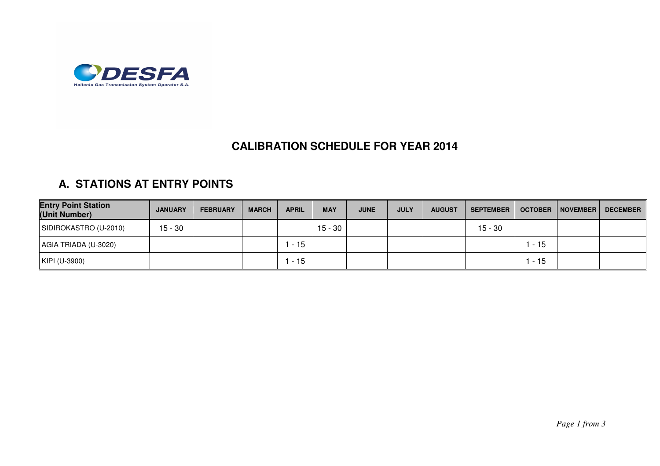

## **CALIBRATION SCHEDULE FOR YEAR 2014**

## **A. STATIONS AT ENTRY POINTS**

| <b>Entry Point Station</b><br>(Unit Number) | <b>JANUARY</b> | <b>FEBRUARY</b> | <b>MARCH</b> | <b>APRIL</b> | <b>MAY</b> | <b>JUNE</b> | <b>JULY</b> | <b>AUGUST</b> | <b>SEPTEMBER</b> | <b>OCTOBER</b> | NOVEMBER | DECEMBER |
|---------------------------------------------|----------------|-----------------|--------------|--------------|------------|-------------|-------------|---------------|------------------|----------------|----------|----------|
| SIDIROKASTRO (U-2010)                       | $15 - 30$      |                 |              |              | $15 - 30$  |             |             |               | 15 - 30          |                |          |          |
| AGIA TRIADA (U-3020)                        |                |                 |              | $-15$        |            |             |             |               |                  | - 15           |          |          |
| KIPI (U-3900)                               |                |                 |              | $-15$        |            |             |             |               |                  | - 15           |          |          |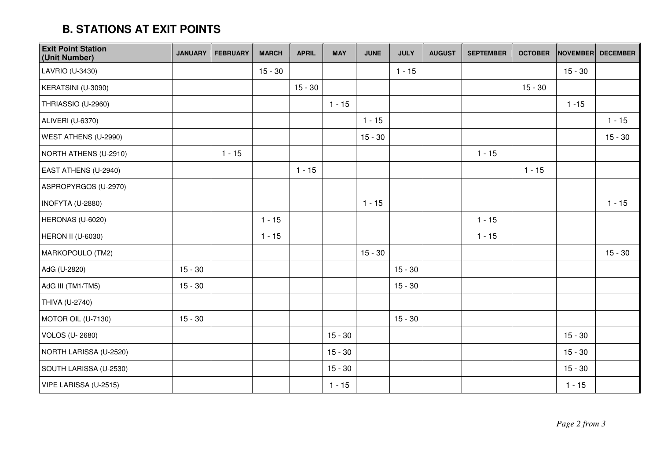## **B. STATIONS AT EXIT POINTS**

| <b>Exit Point Station</b><br>(Unit Number) | <b>JANUARY</b> | <b>FEBRUARY</b> | <b>MARCH</b> | <b>APRIL</b> | <b>MAY</b> | <b>JUNE</b> | <b>JULY</b> | <b>AUGUST</b> | <b>SEPTEMBER</b> | <b>OCTOBER</b> | <b>NOVEMBER</b> | <b>DECEMBER</b> |
|--------------------------------------------|----------------|-----------------|--------------|--------------|------------|-------------|-------------|---------------|------------------|----------------|-----------------|-----------------|
| LAVRIO (U-3430)                            |                |                 | $15 - 30$    |              |            |             | $1 - 15$    |               |                  |                | $15 - 30$       |                 |
| KERATSINI (U-3090)                         |                |                 |              | $15 - 30$    |            |             |             |               |                  | $15 - 30$      |                 |                 |
| THRIASSIO (U-2960)                         |                |                 |              |              | $1 - 15$   |             |             |               |                  |                | $1 - 15$        |                 |
| ALIVERI (U-6370)                           |                |                 |              |              |            | $1 - 15$    |             |               |                  |                |                 | $1 - 15$        |
| WEST ATHENS (U-2990)                       |                |                 |              |              |            | $15 - 30$   |             |               |                  |                |                 | $15 - 30$       |
| NORTH ATHENS (U-2910)                      |                | $1 - 15$        |              |              |            |             |             |               | $1 - 15$         |                |                 |                 |
| EAST ATHENS (U-2940)                       |                |                 |              | $1 - 15$     |            |             |             |               |                  | $1 - 15$       |                 |                 |
| ASPROPYRGOS (U-2970)                       |                |                 |              |              |            |             |             |               |                  |                |                 |                 |
| INOFYTA (U-2880)                           |                |                 |              |              |            | $1 - 15$    |             |               |                  |                |                 | $1 - 15$        |
| HERONAS (U-6020)                           |                |                 | $1 - 15$     |              |            |             |             |               | $1 - 15$         |                |                 |                 |
| <b>HERON II (U-6030)</b>                   |                |                 | $1 - 15$     |              |            |             |             |               | $1 - 15$         |                |                 |                 |
| MARKOPOULO (TM2)                           |                |                 |              |              |            | $15 - 30$   |             |               |                  |                |                 | $15 - 30$       |
| AdG (U-2820)                               | $15 - 30$      |                 |              |              |            |             | $15 - 30$   |               |                  |                |                 |                 |
| AdG III (TM1/TM5)                          | $15 - 30$      |                 |              |              |            |             | $15 - 30$   |               |                  |                |                 |                 |
| THIVA (U-2740)                             |                |                 |              |              |            |             |             |               |                  |                |                 |                 |
| MOTOR OIL (U-7130)                         | $15 - 30$      |                 |              |              |            |             | $15 - 30$   |               |                  |                |                 |                 |
| <b>VOLOS (U-2680)</b>                      |                |                 |              |              | $15 - 30$  |             |             |               |                  |                | $15 - 30$       |                 |
| NORTH LARISSA (U-2520)                     |                |                 |              |              | $15 - 30$  |             |             |               |                  |                | $15 - 30$       |                 |
| SOUTH LARISSA (U-2530)                     |                |                 |              |              | $15 - 30$  |             |             |               |                  |                | $15 - 30$       |                 |
| VIPE LARISSA (U-2515)                      |                |                 |              |              | $1 - 15$   |             |             |               |                  |                | $1 - 15$        |                 |